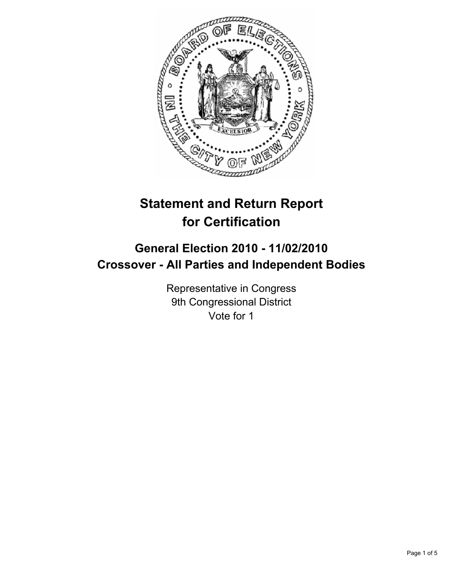

# **Statement and Return Report for Certification**

## **General Election 2010 - 11/02/2010 Crossover - All Parties and Independent Bodies**

Representative in Congress 9th Congressional District Vote for 1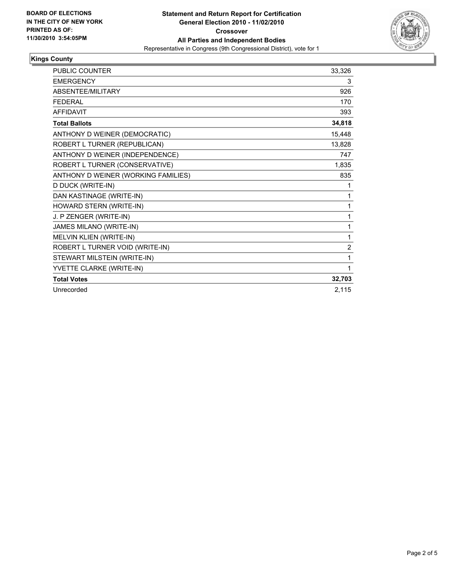

## **Kings County**

| <b>PUBLIC COUNTER</b>               | 33,326         |
|-------------------------------------|----------------|
| <b>EMERGENCY</b>                    | 3              |
| ABSENTEE/MILITARY                   | 926            |
| <b>FEDERAL</b>                      | 170            |
| <b>AFFIDAVIT</b>                    | 393            |
| <b>Total Ballots</b>                | 34,818         |
| ANTHONY D WEINER (DEMOCRATIC)       | 15,448         |
| ROBERT L TURNER (REPUBLICAN)        | 13,828         |
| ANTHONY D WEINER (INDEPENDENCE)     | 747            |
| ROBERT L TURNER (CONSERVATIVE)      | 1,835          |
| ANTHONY D WEINER (WORKING FAMILIES) | 835            |
| D DUCK (WRITE-IN)                   | 1              |
| DAN KASTINAGE (WRITE-IN)            | 1              |
| HOWARD STERN (WRITE-IN)             | 1              |
| J. P ZENGER (WRITE-IN)              | 1              |
| JAMES MILANO (WRITE-IN)             | 1              |
| MELVIN KLIEN (WRITE-IN)             | 1              |
| ROBERT L TURNER VOID (WRITE-IN)     | $\overline{2}$ |
| STEWART MILSTEIN (WRITE-IN)         | 1              |
| YVETTE CLARKE (WRITE-IN)            | 1              |
| <b>Total Votes</b>                  | 32,703         |
| Unrecorded                          | 2.115          |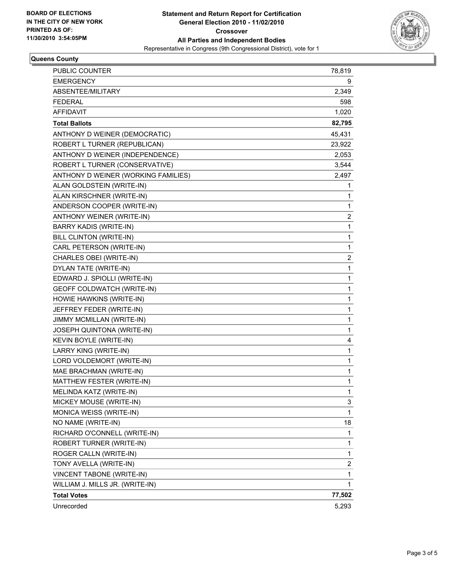

## **Queens County**

| <b>PUBLIC COUNTER</b>               | 78,819                  |
|-------------------------------------|-------------------------|
| EMERGENCY                           | 9                       |
| ABSENTEE/MILITARY                   | 2,349                   |
| <b>FEDERAL</b>                      | 598                     |
| <b>AFFIDAVIT</b>                    | 1,020                   |
| <b>Total Ballots</b>                | 82,795                  |
| ANTHONY D WEINER (DEMOCRATIC)       | 45,431                  |
| ROBERT L TURNER (REPUBLICAN)        | 23,922                  |
| ANTHONY D WEINER (INDEPENDENCE)     | 2,053                   |
| ROBERT L TURNER (CONSERVATIVE)      | 3,544                   |
| ANTHONY D WEINER (WORKING FAMILIES) | 2,497                   |
| ALAN GOLDSTEIN (WRITE-IN)           | 1                       |
| ALAN KIRSCHNER (WRITE-IN)           | 1                       |
| ANDERSON COOPER (WRITE-IN)          | 1                       |
| ANTHONY WEINER (WRITE-IN)           | 2                       |
| <b>BARRY KADIS (WRITE-IN)</b>       | 1                       |
| BILL CLINTON (WRITE-IN)             | 1                       |
| CARL PETERSON (WRITE-IN)            | 1                       |
| CHARLES OBEI (WRITE-IN)             | $\overline{\mathbf{c}}$ |
| DYLAN TATE (WRITE-IN)               | 1                       |
| EDWARD J. SPIOLLI (WRITE-IN)        | 1                       |
| GEOFF COLDWATCH (WRITE-IN)          | 1                       |
| HOWIE HAWKINS (WRITE-IN)            | 1                       |
| JEFFREY FEDER (WRITE-IN)            | 1                       |
| JIMMY MCMILLAN (WRITE-IN)           | 1                       |
| JOSEPH QUINTONA (WRITE-IN)          | 1                       |
| KEVIN BOYLE (WRITE-IN)              | 4                       |
| LARRY KING (WRITE-IN)               | 1                       |
| LORD VOLDEMORT (WRITE-IN)           | 1                       |
| MAE BRACHMAN (WRITE-IN)             | 1                       |
| MATTHEW FESTER (WRITE-IN)           | 1                       |
| MELINDA KATZ (WRITE-IN)             | 1                       |
| MICKEY MOUSE (WRITE-IN)             | 3                       |
| MONICA WEISS (WRITE-IN)             | $\mathbf{1}$            |
| NO NAME (WRITE-IN)                  | 18                      |
| RICHARD O'CONNELL (WRITE-IN)        | 1                       |
| ROBERT TURNER (WRITE-IN)            | 1                       |
| ROGER CALLN (WRITE-IN)              | 1                       |
| TONY AVELLA (WRITE-IN)              | 2                       |
| VINCENT TABONE (WRITE-IN)           | 1                       |
| WILLIAM J. MILLS JR. (WRITE-IN)     | 1                       |
| <b>Total Votes</b>                  | 77,502                  |
| Unrecorded                          | 5,293                   |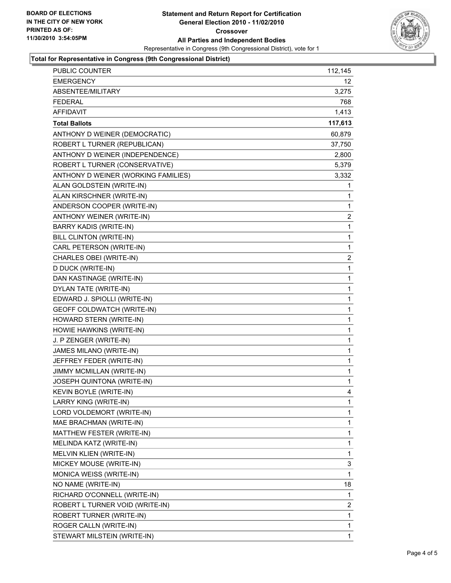

## **Total for Representative in Congress (9th Congressional District)**

| <b>PUBLIC COUNTER</b>               | 112,145 |
|-------------------------------------|---------|
| <b>EMERGENCY</b>                    | 12      |
| ABSENTEE/MILITARY                   | 3,275   |
| <b>FEDERAL</b>                      | 768     |
| <b>AFFIDAVIT</b>                    | 1,413   |
| <b>Total Ballots</b>                | 117,613 |
| ANTHONY D WEINER (DEMOCRATIC)       | 60,879  |
| ROBERT L TURNER (REPUBLICAN)        | 37,750  |
| ANTHONY D WEINER (INDEPENDENCE)     | 2,800   |
| ROBERT L TURNER (CONSERVATIVE)      | 5,379   |
| ANTHONY D WEINER (WORKING FAMILIES) | 3,332   |
| ALAN GOLDSTEIN (WRITE-IN)           | 1       |
| ALAN KIRSCHNER (WRITE-IN)           | 1       |
| ANDERSON COOPER (WRITE-IN)          | 1       |
| ANTHONY WEINER (WRITE-IN)           | 2       |
| <b>BARRY KADIS (WRITE-IN)</b>       | 1       |
| <b>BILL CLINTON (WRITE-IN)</b>      | 1       |
| CARL PETERSON (WRITE-IN)            | 1       |
| CHARLES OBEI (WRITE-IN)             | 2       |
| D DUCK (WRITE-IN)                   | 1       |
| DAN KASTINAGE (WRITE-IN)            | 1       |
| DYLAN TATE (WRITE-IN)               | 1       |
| EDWARD J. SPIOLLI (WRITE-IN)        | 1       |
| GEOFF COLDWATCH (WRITE-IN)          | 1       |
| HOWARD STERN (WRITE-IN)             | 1       |
| HOWIE HAWKINS (WRITE-IN)            | 1       |
| J. P ZENGER (WRITE-IN)              | 1       |
| JAMES MILANO (WRITE-IN)             | 1       |
| JEFFREY FEDER (WRITE-IN)            | 1       |
| <b>JIMMY MCMILLAN (WRITE-IN)</b>    | 1       |
| JOSEPH QUINTONA (WRITE-IN)          | 1       |
| <b>KEVIN BOYLE (WRITE-IN)</b>       | 4       |
| LARRY KING (WRITE-IN)               | 1       |
| LORD VOLDEMORT (WRITE-IN)           | 1       |
| MAE BRACHMAN (WRITE-IN)             | 1       |
| MATTHEW FESTER (WRITE-IN)           | 1       |
| MELINDA KATZ (WRITE-IN)             | 1       |
| MELVIN KLIEN (WRITE-IN)             | 1       |
| MICKEY MOUSE (WRITE-IN)             | 3       |
| MONICA WEISS (WRITE-IN)             | 1       |
| NO NAME (WRITE-IN)                  | 18      |
| RICHARD O'CONNELL (WRITE-IN)        | 1       |
| ROBERT L TURNER VOID (WRITE-IN)     | 2       |
| ROBERT TURNER (WRITE-IN)            | 1       |
| ROGER CALLN (WRITE-IN)              | 1       |
| STEWART MILSTEIN (WRITE-IN)         | 1       |